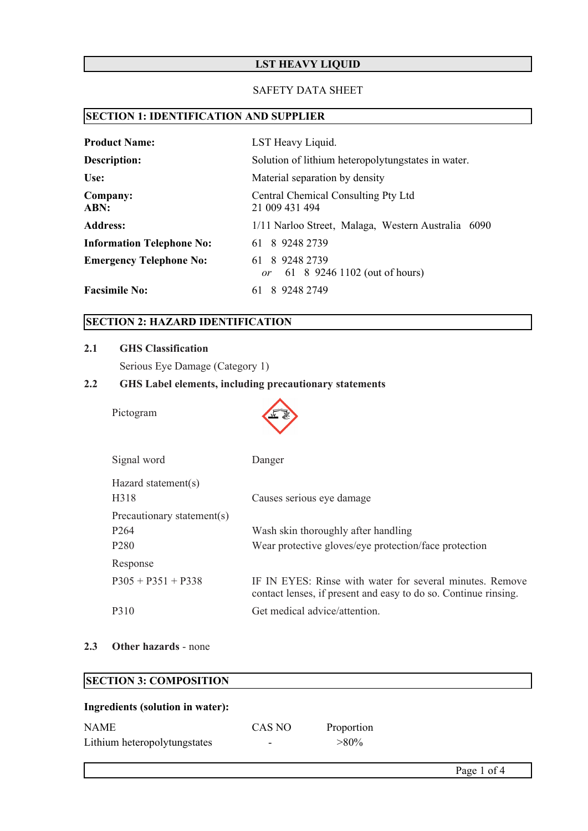# **LST HEAVY LIQUID**

#### SAFETY DATA SHEET

# **SECTION 1: IDENTIFICATION AND SUPPLIER**

| <b>Product Name:</b>             | LST Heavy Liquid.                                     |  |
|----------------------------------|-------------------------------------------------------|--|
| Description:                     | Solution of lithium heteropolytungstates in water.    |  |
| Use:                             | Material separation by density                        |  |
| Company:<br>ABN:                 | Central Chemical Consulting Pty Ltd<br>21 009 431 494 |  |
| <b>Address:</b>                  | 1/11 Narloo Street, Malaga, Western Australia 6090    |  |
| <b>Information Telephone No:</b> | 61 8 9248 2739                                        |  |
| <b>Emergency Telephone No:</b>   | 61 8 9248 2739<br>61 8 9246 1102 (out of hours)<br>or |  |
| <b>Facsimile No:</b>             | 61 8 9248 2749                                        |  |

# **SECTION 2: HAZARD IDENTIFICATION**

#### **2.1 GHS Classification**

Serious Eye Damage (Category 1)

## **2.2 GHS Label elements, including precautionary statements**

Pictogram



| Signal word                              | Danger                                                                                                                      |
|------------------------------------------|-----------------------------------------------------------------------------------------------------------------------------|
| Hazard statement(s)<br>H <sub>3</sub> 18 | Causes serious eye damage                                                                                                   |
| Precautionary statement(s)               |                                                                                                                             |
| P <sub>264</sub>                         | Wash skin thoroughly after handling                                                                                         |
| P <sub>280</sub>                         | Wear protective gloves/eye protection/face protection                                                                       |
| Response                                 |                                                                                                                             |
| $P305 + P351 + P338$                     | IF IN EYES: Rinse with water for several minutes. Remove<br>contact lenses, if present and easy to do so. Continue rinsing. |
| P310                                     | Get medical advice/attention.                                                                                               |

## **2.3 Other hazards** - none

# **SECTION 3: COMPOSITION**

## **Ingredients (solution in water):**

| <b>NAME</b>                  | CAS NO | Proportion |
|------------------------------|--------|------------|
| Lithium heteropolytungstates | -      | $> 80\%$   |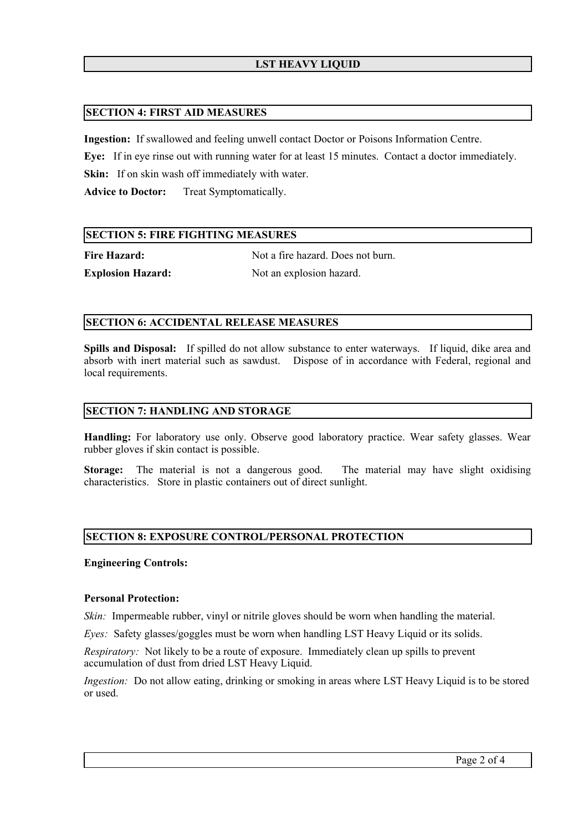## **LST HEAVY LIQUID**

#### **SECTION 4: FIRST AID MEASURES**

**Ingestion:** If swallowed and feeling unwell contact Doctor or Poisons Information Centre.

**Eye:** If in eye rinse out with running water for at least 15 minutes. Contact a doctor immediately.

**Skin:** If on skin wash off immediately with water.

**Advice to Doctor:** Treat Symptomatically.

## **SECTION 5: FIRE FIGHTING MEASURES**

**Fire Hazard:** Not a fire hazard. Does not burn.

**Explosion Hazard:** Not an explosion hazard.

## **SECTION 6: ACCIDENTAL RELEASE MEASURES**

**Spills and Disposal:** If spilled do not allow substance to enter waterways. If liquid, dike area and absorb with inert material such as sawdust. Dispose of in accordance with Federal, regional and local requirements.

## **SECTION 7: HANDLING AND STORAGE**

**Handling:** For laboratory use only. Observe good laboratory practice. Wear safety glasses. Wear rubber gloves if skin contact is possible.

**Storage:** The material is not a dangerous good. The material may have slight oxidising characteristics. Store in plastic containers out of direct sunlight.

#### **SECTION 8: EXPOSURE CONTROL/PERSONAL PROTECTION**

**Engineering Controls:**

#### **Personal Protection:**

*Skin:* Impermeable rubber, vinyl or nitrile gloves should be worn when handling the material.

*Eyes:* Safety glasses/goggles must be worn when handling LST Heavy Liquid or its solids.

*Respiratory:* Not likely to be a route of exposure. Immediately clean up spills to prevent accumulation of dust from dried LST Heavy Liquid.

*Ingestion:* Do not allow eating, drinking or smoking in areas where LST Heavy Liquid is to be stored or used.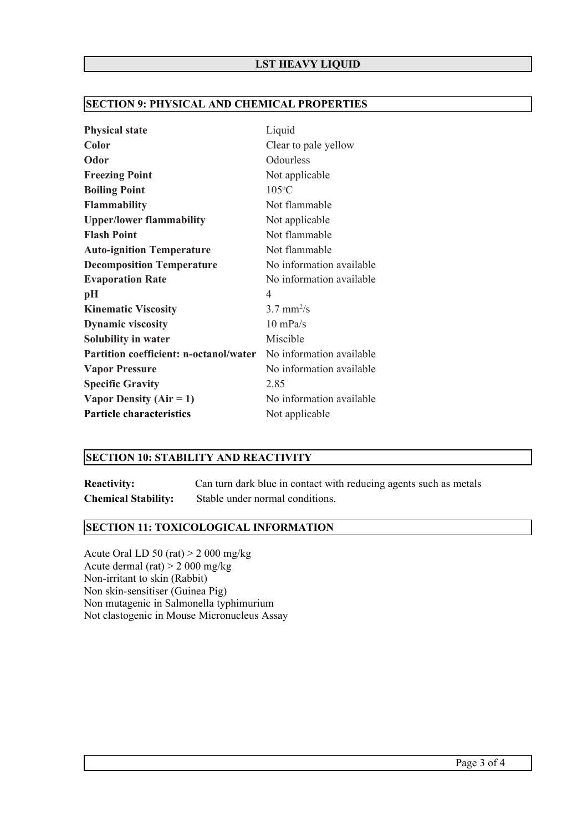## **SECTION 9: PHYSICAL AND CHEMICAL PROPERTIES**

| <b>Physical state</b>                         | Liquid                   |
|-----------------------------------------------|--------------------------|
| Color                                         | Clear to pale yellow     |
| Odor                                          | Odourless                |
| <b>Freezing Point</b>                         | Not applicable           |
| <b>Boiling Point</b>                          | $105^{\circ}$ C          |
| <b>Flammability</b>                           | Not flammable            |
| <b>Upper/lower flammability</b>               | Not applicable           |
| <b>Flash Point</b>                            | Not flammable            |
| <b>Auto-ignition Temperature</b>              | Not flammable            |
| <b>Decomposition Temperature</b>              | No information available |
| <b>Evaporation Rate</b>                       | No information available |
| рH                                            | 4                        |
| <b>Kinematic Viscosity</b>                    | $3.7$ mm <sup>2</sup> /s |
| <b>Dynamic viscosity</b>                      | $10$ mPa/s               |
| Solubility in water                           | Miscible                 |
| <b>Partition coefficient: n-octanol/water</b> | No information available |
| <b>Vapor Pressure</b>                         | No information available |
| <b>Specific Gravity</b>                       | 2.85                     |
| Vapor Density ( $Air = 1$ )                   | No information available |
| <b>Particle characteristics</b>               | Not applicable           |

#### **SECTION 10: STABILITY AND REACTIVITY**

**Reactivity:** Can turn dark blue in contact with reducing agents such as metals **Chemical Stability:** Stable under normal conditions.

# **SECTION 11: TOXICOLOGICAL INFORMATION**

Acute Oral LD 50 (rat) > 2 000 mg/kg Acute dermal (rat) > 2 000 mg/kg Non-irritant to skin (Rabbit) Non skin-sensitiser (Guinea Pig) Non mutagenic in Salmonella typhimurium Not clastogenic in Mouse Micronucleus Assay